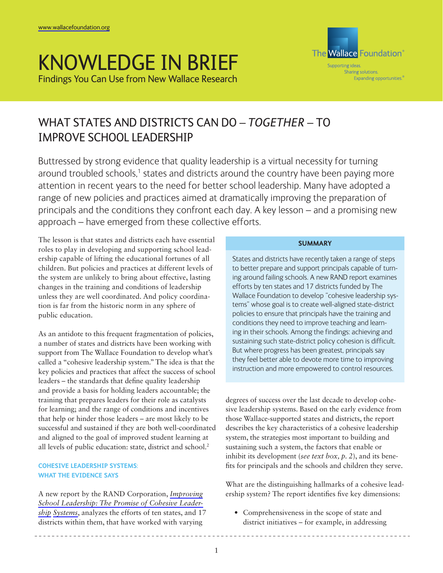# KNOWLEDGE IN BRIEF Findings You Can Use from New Wallace Research



# WHAT STATES AND DISTRICTS CAN DO – *TOGETHER* – TO IMPROVE SCHOOL LEADERSHIP

Buttressed by strong evidence that quality leadership is a virtual necessity for turning around troubled schools,<sup>1</sup> states and districts around the country have been paying more attention in recent years to the need for better school leadership. Many have adopted a range of new policies and practices aimed at dramatically improving the preparation of principals and the conditions they confront each day. A key lesson – and a promising new approach – have emerged from these collective efforts.

The lesson is that states and districts each have essential roles to play in developing and supporting school leadership capable of lifting the educational fortunes of all children. But policies and practices at different levels of the system are unlikely to bring about effective, lasting changes in the training and conditions of leadership unless they are well coordinated. And policy coordination is far from the historic norm in any sphere of public education.

As an antidote to this frequent fragmentation of policies, a number of states and districts have been working with support from The Wallace Foundation to develop what's called a "cohesive leadership system." The idea is that the key policies and practices that affect the success of school leaders – the standards that define quality leadership and provide a basis for holding leaders accountable; the training that prepares leaders for their role as catalysts for learning; and the range of conditions and incentives that help or hinder those leaders – are most likely to be successful and sustained if they are both well-coordinated and aligned to the goal of improved student learning at all levels of public education: state, district and school.<sup>2</sup>

# **COHESIVE LEADERSHIP SYSTEMS: WHAT THE EVIDENCE SAYS**

A new report by the RAND Corporation, *[Improving](http://www.wallacefoundation.org/KnowledgeCenter/KnowledgeTopics/CurrentAreasofFocus/EducationLeadership/Pages/Improving-School-Leadership-The-Promise-of-Cohesive-Leadership-Systems.aspx) [School Leadership: The Promise of Cohesive Leader](http://www.wallacefoundation.org/KnowledgeCenter/KnowledgeTopics/CurrentAreasofFocus/EducationLeadership/Pages/Improving-School-Leadership-The-Promise-of-Cohesive-Leadership-Systems.aspx)[ship Systems](http://www.wallacefoundation.org/KnowledgeCenter/KnowledgeTopics/CurrentAreasofFocus/EducationLeadership/Pages/Improving-School-Leadership-The-Promise-of-Cohesive-Leadership-Systems.aspx)*, analyzes the efforts of ten states, and 17 districts within them, that have worked with varying

# **SUMMARY**

States and districts have recently taken a range of steps to better prepare and support principals capable of turning around failing schools. A new RAND report examines efforts by ten states and 17 districts funded by The Wallace Foundation to develop "cohesive leadership systems" whose goal is to create well-aligned state-district policies to ensure that principals have the training and conditions they need to improve teaching and learning in their schools. Among the findings: achieving and sustaining such state-district policy cohesion is difficult. But where progress has been greatest, principals say they feel better able to devote more time to improving instruction and more empowered to control resources.

degrees of success over the last decade to develop cohesive leadership systems. Based on the early evidence from those Wallace-supported states and districts, the report describes the key characteristics of a cohesive leadership system, the strategies most important to building and sustaining such a system, the factors that enable or inhibit its development (*see text box, p. 2*), and its benefits for principals and the schools and children they serve.

What are the distinguishing hallmarks of a cohesive leadership system? The report identifies five key dimensions:

• Comprehensiveness in the scope of state and district initiatives – for example, in addressing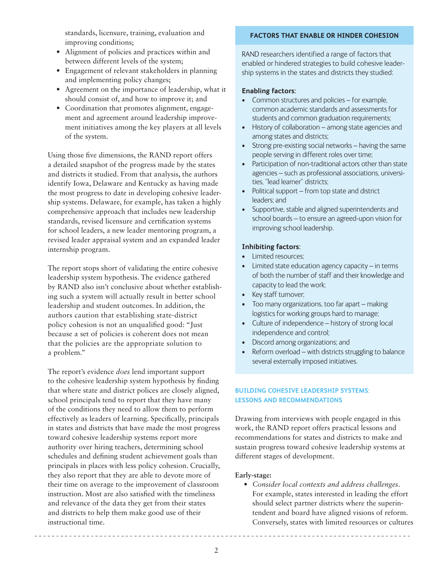standards, licensure, training, evaluation and improving conditions;

- • Alignment of policies and practices within and between different levels of the system;
- Engagement of relevant stakeholders in planning and implementing policy changes;
- Agreement on the importance of leadership, what it should consist of, and how to improve it; and
- Coordination that promotes alignment, engagement and agreement around leadership improvement initiatives among the key players at all levels of the system.

Using those five dimensions, the RAND report offers a detailed snapshot of the progress made by the states and districts it studied. From that analysis, the authors identify Iowa, Delaware and Kentucky as having made the most progress to date in developing cohesive leadership systems. Delaware, for example, has taken a highly comprehensive approach that includes new leadership standards, revised licensure and certification systems for school leaders, a new leader mentoring program, a revised leader appraisal system and an expanded leader internship program.

The report stops short of validating the entire cohesive leadership system hypothesis. The evidence gathered by RAND also isn't conclusive about whether establishing such a system will actually result in better school leadership and student outcomes. In addition, the authors caution that establishing state-district policy cohesion is not an unqualified good: "Just because a set of policies is coherent does not mean that the policies are the appropriate solution to a problem."

The report's evidence *does* lend important support to the cohesive leadership system hypothesis by finding that where state and district polices are closely aligned, school principals tend to report that they have many of the conditions they need to allow them to perform effectively as leaders of learning. Specifically, principals in states and districts that have made the most progress toward cohesive leadership systems report more authority over hiring teachers, determining school schedules and defining student achievement goals than principals in places with less policy cohesion. Crucially, they also report that they are able to devote more of their time on average to the improvement of classroom instruction. Most are also satisfied with the timeliness and relevance of the data they get from their states and districts to help them make good use of their instructional time.

#### **FACTORS THAT ENABLE OR HINDER COHESION**

RAND researchers identified a range of factors that enabled or hindered strategies to build cohesive leadership systems in the states and districts they studied:

#### **Enabling factors:**

- Common structures and policies for example, common academic standards and assessments for students and common graduation requirements;
- History of collaboration among state agencies and among states and districts;
- Strong pre-existing social networks having the same people serving in different roles over time;
- Participation of non-traditional actors other than state agencies – such as professional associations, universities, "lead learner" districts;
- Political support from top state and district leaders; and
- Supportive, stable and aligned superintendents and school boards – to ensure an agreed-upon vision for improving school leadership.

## **Inhibiting factors:**

- Limited resources:
- Limited state education agency capacity  $-$  in terms of both the number of staff and their knowledge and capacity to lead the work;
- Key staff turnover;
- Too many organizations, too far apart making logistics for working groups hard to manage;
- Culture of independence history of strong local independence and control;
- • Discord among organizations; and
- Reform overload with districts struggling to balance several externally imposed initiatives.

# **BUILDING COHESIVE LEADERSHIP SYSTEMS: LESSONS AND RECOMMENDATIONS**

Drawing from interviews with people engaged in this work, the RAND report offers practical lessons and recommendations for states and districts to make and sustain progress toward cohesive leadership systems at different stages of development.

#### **Early-stage:**

*• Consider local contexts and address challenges*. For example, states interested in leading the effort should select partner districts where the superintendent and board have aligned visions of reform. Conversely, states with limited resources or cultures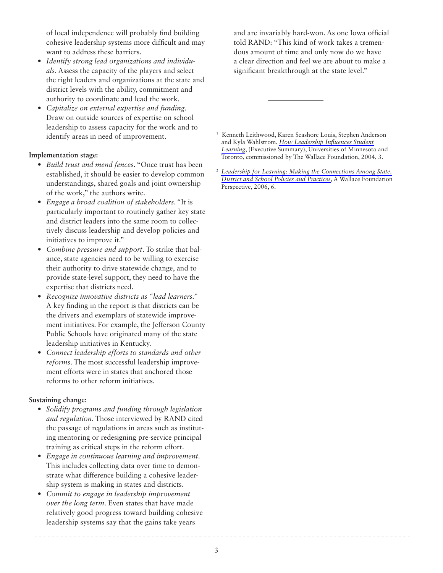of local independence will probably find building cohesive leadership systems more difficult and may want to address these barriers.

- *• Identify strong lead organizations and individuals*. Assess the capacity of the players and select the right leaders and organizations at the state and district levels with the ability, commitment and authority to coordinate and lead the work.
- *• Capitalize on external expertise and funding*. Draw on outside sources of expertise on school leadership to assess capacity for the work and to identify areas in need of improvement.

## **Implementation stage:**

- *• Build trust and mend fences*. "Once trust has been established, it should be easier to develop common understandings, shared goals and joint ownership of the work," the authors write.
- *• Engage a broad coalition of stakeholders*. "It is particularly important to routinely gather key state and district leaders into the same room to collectively discuss leadership and develop policies and initiatives to improve it."
- *• Combine pressure and support*. To strike that balance, state agencies need to be willing to exercise their authority to drive statewide change, and to provide state-level support, they need to have the expertise that districts need.
- *• Recognize innovative districts as "lead learners."* A key finding in the report is that districts can be the drivers and exemplars of statewide improvement initiatives. For example, the Jefferson County Public Schools have originated many of the state leadership initiatives in Kentucky.
- *• Connect leadership efforts to standards and other reforms*. The most successful leadership improvement efforts were in states that anchored those reforms to other reform initiatives.

# **Sustaining change:**

- *• Solidify programs and funding through legislation and regulation*. Those interviewed by RAND cited the passage of regulations in areas such as instituting mentoring or redesigning pre-service principal training as critical steps in the reform effort.
- *• Engage in continuous learning and improvement*. This includes collecting data over time to demonstrate what difference building a cohesive leadership system is making in states and districts.
- *• Commit to engage in leadership improvement over the long term*. Even states that have made relatively good progress toward building cohesive leadership systems say that the gains take years

and are invariably hard-won. As one Iowa official told RAND: "This kind of work takes a tremendous amount of time and only now do we have a clear direction and feel we are about to make a significant breakthrough at the state level."

1 Kenneth Leithwood, Karen Seashore Louis, Stephen Anderson and Kyla Wahlstrom, *[How Leadership Influences Student](http://www.wallacefoundation.org/KnowledgeCenter/KnowledgeTopics/CurrentAreasofFocus/EducationLeadership/Pages/HowLeadershipInfluencesStudentLearning.aspx)  [Learning](http://www.wallacefoundation.org/KnowledgeCenter/KnowledgeTopics/CurrentAreasofFocus/EducationLeadership/Pages/HowLeadershipInfluencesStudentLearning.aspx)*, (Executive Summary), Universities of Minnesota and Toronto, commissioned by The Wallace Foundation, 2004, 3.

<sup>2</sup>*[Leadership for Learning: Making the Connections Among State,](http://www.wallacefoundation.org/KnowledgeCenter/KnowledgeTopics/CurrentAreasofFocus/EducationLeadership/Pages/AWallacePerspectiveLeadershipforLearning.aspx)  [District and School Policies and Practices](http://www.wallacefoundation.org/KnowledgeCenter/KnowledgeTopics/CurrentAreasofFocus/EducationLeadership/Pages/AWallacePerspectiveLeadershipforLearning.aspx)*, A Wallace Foundation Perspective, 2006, 6.